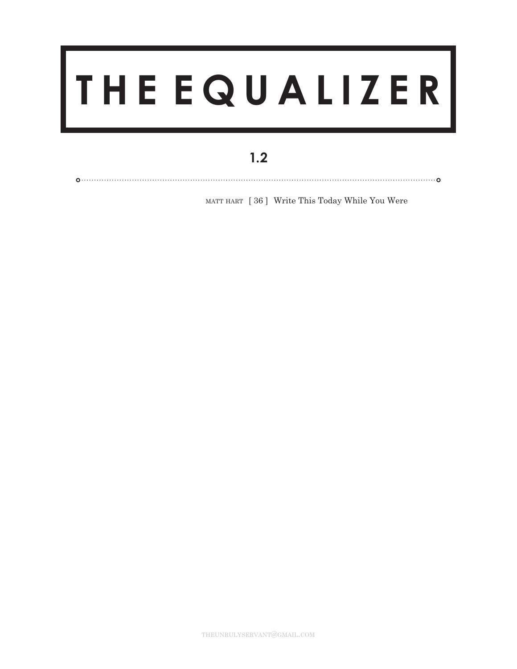## **THE EQUALIZER**

## $1.2$

MATT HART [36] Write This Today While You Were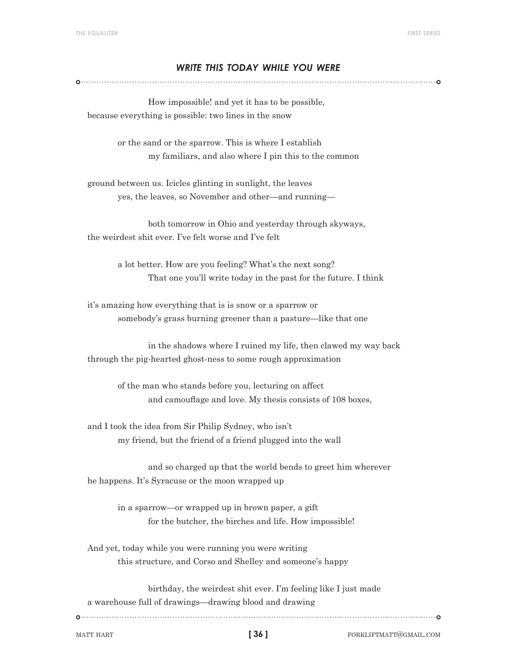## *write this today while you were*

 How impossible! and yet it has to be possible, because everything is possible: two lines in the snow

> or the sand or the sparrow. This is where I establish my familiars, and also where I pin this to the common

ground between us. Icicles glinting in sunlight, the leaves yes, the leaves, so November and other—and running—

 both tomorrow in Ohio and yesterday through skyways, the weirdest shit ever. I've felt worse and I've felt

> a lot better. How are you feeling? What's the next song? That one you'll write today in the past for the future. I think

it's amazing how everything that is is snow or a sparrow or somebody's grass burning greener than a pasture—like that one

 in the shadows where I ruined my life, then clawed my way back through the pig-hearted ghost-ness to some rough approximation

of the man who stands before you, lecturing on affect and camouflage and love. My thesis consists of 108 boxes,

and I took the idea from Sir Philip Sydney, who isn't my friend, but the friend of a friend plugged into the wall

 and so charged up that the world bends to greet him wherever he happens. It's Syracuse or the moon wrapped up

in a sparrow—or wrapped up in brown paper, a gift for the butcher, the birches and life. How impossible!

And yet, today while you were running you were writing this structure, and Corso and Shelley and someone's happy

 birthday, the weirdest shit ever. I'm feeling like I just made a warehouse full of drawings—drawing blood and drawing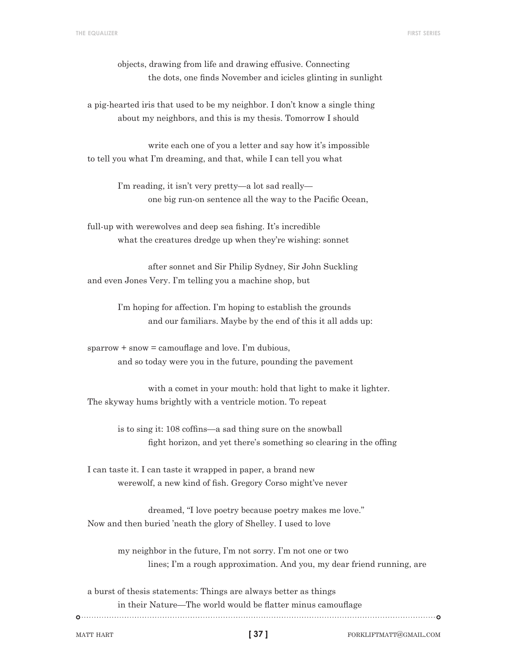objects, drawing from life and drawing effusive. Connecting the dots, one finds November and icicles glinting in sunlight

a pig-hearted iris that used to be my neighbor. I don't know a single thing about my neighbors, and this is my thesis. Tomorrow I should

 write each one of you a letter and say how it's impossible to tell you what I'm dreaming, and that, while I can tell you what

> I'm reading, it isn't very pretty—a lot sad really— one big run-on sentence all the way to the Pacific Ocean,

full-up with werewolves and deep sea fishing. It's incredible what the creatures dredge up when they're wishing: sonnet

 after sonnet and Sir Philip Sydney, Sir John Suckling and even Jones Very. I'm telling you a machine shop, but

> I'm hoping for affection. I'm hoping to establish the grounds and our familiars. Maybe by the end of this it all adds up:

 $sparrow + snow = camouflage and love. I'm dubious,$ and so today were you in the future, pounding the pavement

 with a comet in your mouth: hold that light to make it lighter. The skyway hums brightly with a ventricle motion. To repeat

 is to sing it: 108 coffins—a sad thing sure on the snowball fight horizon, and yet there's something so clearing in the offing

I can taste it. I can taste it wrapped in paper, a brand new werewolf, a new kind of fish. Gregory Corso might've never

 dreamed, "I love poetry because poetry makes me love." Now and then buried 'neath the glory of Shelley. I used to love

> my neighbor in the future, I'm not sorry. I'm not one or two lines; I'm a rough approximation. And you, my dear friend running, are

a burst of thesis statements: Things are always better as things in their Nature—The world would be flatter minus camouflage 

**[ 37 ]**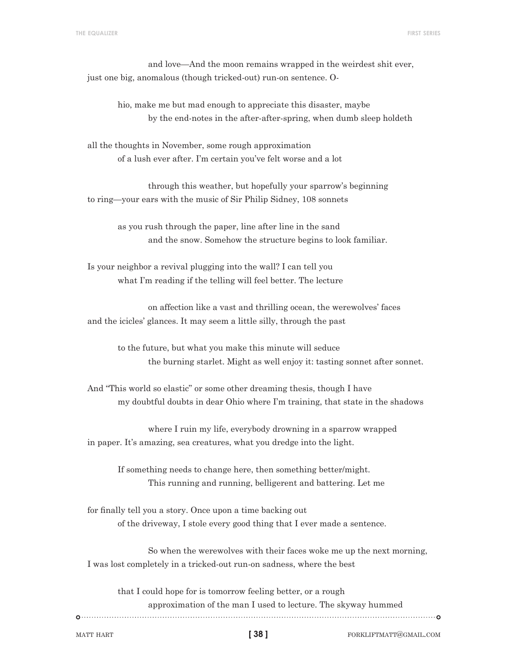and love—And the moon remains wrapped in the weirdest shit ever, just one big, anomalous (though tricked-out) run-on sentence. O-

hio, make me but mad enough to appreciate this disaster, maybe by the end-notes in the after-after-spring, when dumb sleep holdeth

all the thoughts in November, some rough approximation of a lush ever after. I'm certain you've felt worse and a lot

 through this weather, but hopefully your sparrow's beginning to ring—your ears with the music of Sir Philip Sidney, 108 sonnets

> as you rush through the paper, line after line in the sand and the snow. Somehow the structure begins to look familiar.

Is your neighbor a revival plugging into the wall? I can tell you what I'm reading if the telling will feel better. The lecture

 on affection like a vast and thrilling ocean, the werewolves' faces and the icicles' glances. It may seem a little silly, through the past

to the future, but what you make this minute will seduce the burning starlet. Might as well enjoy it: tasting sonnet after sonnet.

And "This world so elastic" or some other dreaming thesis, though I have my doubtful doubts in dear Ohio where I'm training, that state in the shadows

 where I ruin my life, everybody drowning in a sparrow wrapped in paper. It's amazing, sea creatures, what you dredge into the light.

If something needs to change here, then something better/might. This running and running, belligerent and battering. Let me

for finally tell you a story. Once upon a time backing out of the driveway, I stole every good thing that I ever made a sentence.

 So when the werewolves with their faces woke me up the next morning, I was lost completely in a tricked-out run-on sadness, where the best

that I could hope for is tomorrow feeling better, or a rough approximation of the man I used to lecture. The skyway hummed